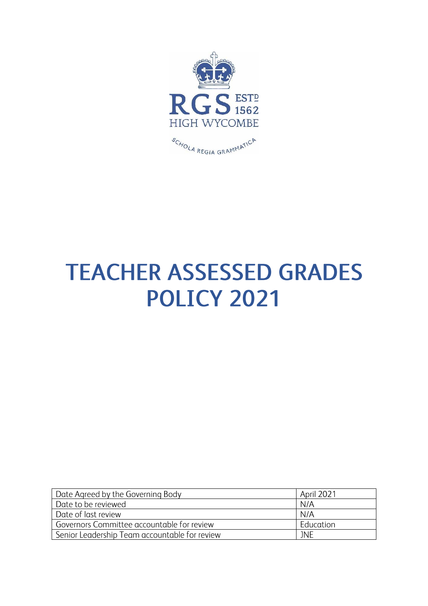

# **TEACHER ASSESSED GRADES POLICY 2021**

| Date Agreed by the Governing Body             | <b>April 2021</b> |
|-----------------------------------------------|-------------------|
| Date to be reviewed                           | N/A               |
| Date of last review                           | N/A               |
| Governors Committee accountable for review    | Education         |
| Senior Leadership Team accountable for review | <b>JNF</b>        |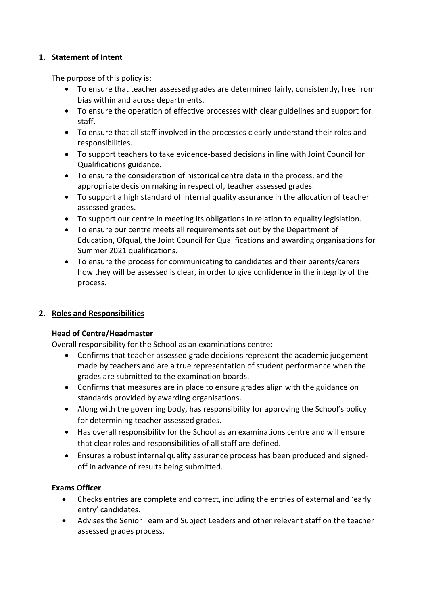## **1. Statement of Intent**

The purpose of this policy is:

- To ensure that teacher assessed grades are determined fairly, consistently, free from bias within and across departments.
- To ensure the operation of effective processes with clear guidelines and support for staff.
- To ensure that all staff involved in the processes clearly understand their roles and responsibilities.
- To support teachers to take evidence-based decisions in line with Joint Council for Qualifications guidance.
- To ensure the consideration of historical centre data in the process, and the appropriate decision making in respect of, teacher assessed grades.
- To support a high standard of internal quality assurance in the allocation of teacher assessed grades.
- To support our centre in meeting its obligations in relation to equality legislation.
- To ensure our centre meets all requirements set out by the Department of Education, Ofqual, the Joint Council for Qualifications and awarding organisations for Summer 2021 qualifications.
- To ensure the process for communicating to candidates and their parents/carers how they will be assessed is clear, in order to give confidence in the integrity of the process.

# **2. Roles and Responsibilities**

# **Head of Centre/Headmaster**

Overall responsibility for the School as an examinations centre:

- Confirms that teacher assessed grade decisions represent the academic judgement made by teachers and are a true representation of student performance when the grades are submitted to the examination boards.
- Confirms that measures are in place to ensure grades align with the guidance on standards provided by awarding organisations.
- Along with the governing body, has responsibility for approving the School's policy for determining teacher assessed grades.
- Has overall responsibility for the School as an examinations centre and will ensure that clear roles and responsibilities of all staff are defined.
- Ensures a robust internal quality assurance process has been produced and signedoff in advance of results being submitted.

#### **Exams Officer**

- Checks entries are complete and correct, including the entries of external and 'early entry' candidates.
- Advises the Senior Team and Subject Leaders and other relevant staff on the teacher assessed grades process.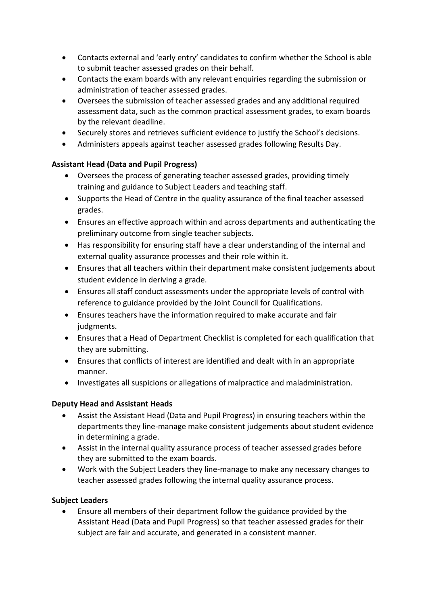- Contacts external and 'early entry' candidates to confirm whether the School is able to submit teacher assessed grades on their behalf.
- Contacts the exam boards with any relevant enquiries regarding the submission or administration of teacher assessed grades.
- Oversees the submission of teacher assessed grades and any additional required assessment data, such as the common practical assessment grades, to exam boards by the relevant deadline.
- Securely stores and retrieves sufficient evidence to justify the School's decisions.
- Administers appeals against teacher assessed grades following Results Day.

## **Assistant Head (Data and Pupil Progress)**

- Oversees the process of generating teacher assessed grades, providing timely training and guidance to Subject Leaders and teaching staff.
- Supports the Head of Centre in the quality assurance of the final teacher assessed grades.
- Ensures an effective approach within and across departments and authenticating the preliminary outcome from single teacher subjects.
- Has responsibility for ensuring staff have a clear understanding of the internal and external quality assurance processes and their role within it.
- Ensures that all teachers within their department make consistent judgements about student evidence in deriving a grade.
- Ensures all staff conduct assessments under the appropriate levels of control with reference to guidance provided by the Joint Council for Qualifications.
- Ensures teachers have the information required to make accurate and fair judgments.
- Ensures that a Head of Department Checklist is completed for each qualification that they are submitting.
- Ensures that conflicts of interest are identified and dealt with in an appropriate manner.
- Investigates all suspicions or allegations of malpractice and maladministration.

#### **Deputy Head and Assistant Heads**

- Assist the Assistant Head (Data and Pupil Progress) in ensuring teachers within the departments they line-manage make consistent judgements about student evidence in determining a grade.
- Assist in the internal quality assurance process of teacher assessed grades before they are submitted to the exam boards.
- Work with the Subject Leaders they line-manage to make any necessary changes to teacher assessed grades following the internal quality assurance process.

#### **Subject Leaders**

• Ensure all members of their department follow the guidance provided by the Assistant Head (Data and Pupil Progress) so that teacher assessed grades for their subject are fair and accurate, and generated in a consistent manner.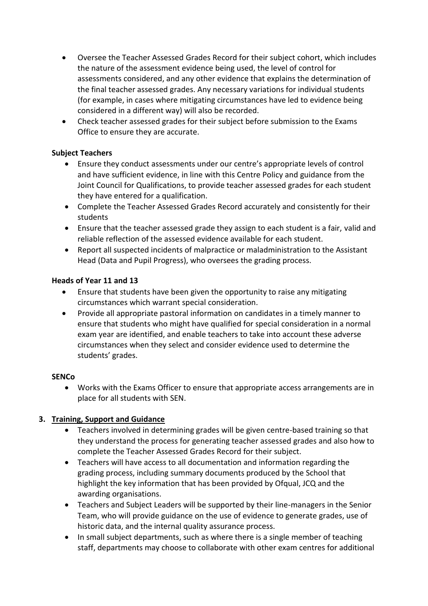- Oversee the Teacher Assessed Grades Record for their subject cohort, which includes the nature of the assessment evidence being used, the level of control for assessments considered, and any other evidence that explains the determination of the final teacher assessed grades. Any necessary variations for individual students (for example, in cases where mitigating circumstances have led to evidence being considered in a different way) will also be recorded.
- Check teacher assessed grades for their subject before submission to the Exams Office to ensure they are accurate.

#### **Subject Teachers**

- Ensure they conduct assessments under our centre's appropriate levels of control and have sufficient evidence, in line with this Centre Policy and guidance from the Joint Council for Qualifications, to provide teacher assessed grades for each student they have entered for a qualification.
- Complete the Teacher Assessed Grades Record accurately and consistently for their students
- Ensure that the teacher assessed grade they assign to each student is a fair, valid and reliable reflection of the assessed evidence available for each student.
- Report all suspected incidents of malpractice or maladministration to the Assistant Head (Data and Pupil Progress), who oversees the grading process.

## **Heads of Year 11 and 13**

- Ensure that students have been given the opportunity to raise any mitigating circumstances which warrant special consideration.
- Provide all appropriate pastoral information on candidates in a timely manner to ensure that students who might have qualified for special consideration in a normal exam year are identified, and enable teachers to take into account these adverse circumstances when they select and consider evidence used to determine the students' grades.

#### **SENCo**

• Works with the Exams Officer to ensure that appropriate access arrangements are in place for all students with SEN.

# **3. Training, Support and Guidance**

- Teachers involved in determining grades will be given centre-based training so that they understand the process for generating teacher assessed grades and also how to complete the Teacher Assessed Grades Record for their subject.
- Teachers will have access to all documentation and information regarding the grading process, including summary documents produced by the School that highlight the key information that has been provided by Ofqual, JCQ and the awarding organisations.
- Teachers and Subject Leaders will be supported by their line-managers in the Senior Team, who will provide guidance on the use of evidence to generate grades, use of historic data, and the internal quality assurance process.
- In small subject departments, such as where there is a single member of teaching staff, departments may choose to collaborate with other exam centres for additional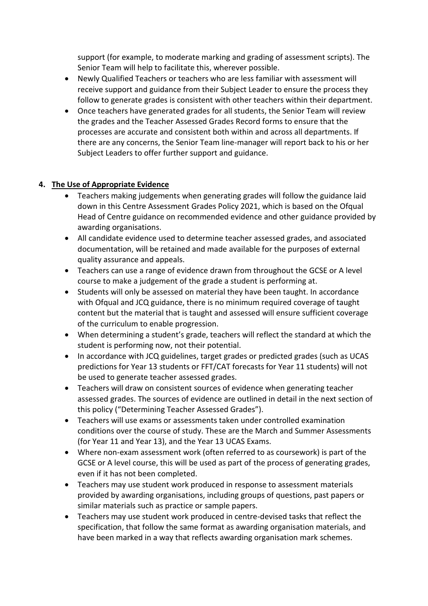support (for example, to moderate marking and grading of assessment scripts). The Senior Team will help to facilitate this, wherever possible.

- Newly Qualified Teachers or teachers who are less familiar with assessment will receive support and guidance from their Subject Leader to ensure the process they follow to generate grades is consistent with other teachers within their department.
- Once teachers have generated grades for all students, the Senior Team will review the grades and the Teacher Assessed Grades Record forms to ensure that the processes are accurate and consistent both within and across all departments. If there are any concerns, the Senior Team line-manager will report back to his or her Subject Leaders to offer further support and guidance.

## **4. The Use of Appropriate Evidence**

- Teachers making judgements when generating grades will follow the guidance laid down in this Centre Assessment Grades Policy 2021, which is based on the Ofqual Head of Centre guidance on recommended evidence and other guidance provided by awarding organisations.
- All candidate evidence used to determine teacher assessed grades, and associated documentation, will be retained and made available for the purposes of external quality assurance and appeals.
- Teachers can use a range of evidence drawn from throughout the GCSE or A level course to make a judgement of the grade a student is performing at.
- Students will only be assessed on material they have been taught. In accordance with Ofqual and JCQ guidance, there is no minimum required coverage of taught content but the material that is taught and assessed will ensure sufficient coverage of the curriculum to enable progression.
- When determining a student's grade, teachers will reflect the standard at which the student is performing now, not their potential.
- In accordance with JCQ guidelines, target grades or predicted grades (such as UCAS predictions for Year 13 students or FFT/CAT forecasts for Year 11 students) will not be used to generate teacher assessed grades.
- Teachers will draw on consistent sources of evidence when generating teacher assessed grades. The sources of evidence are outlined in detail in the next section of this policy ("Determining Teacher Assessed Grades").
- Teachers will use exams or assessments taken under controlled examination conditions over the course of study. These are the March and Summer Assessments (for Year 11 and Year 13), and the Year 13 UCAS Exams.
- Where non-exam assessment work (often referred to as coursework) is part of the GCSE or A level course, this will be used as part of the process of generating grades, even if it has not been completed.
- Teachers may use student work produced in response to assessment materials provided by awarding organisations, including groups of questions, past papers or similar materials such as practice or sample papers.
- Teachers may use student work produced in centre-devised tasks that reflect the specification, that follow the same format as awarding organisation materials, and have been marked in a way that reflects awarding organisation mark schemes.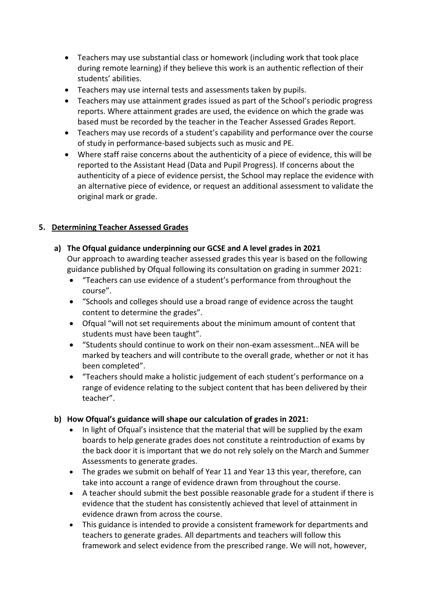- Teachers may use substantial class or homework (including work that took place during remote learning) if they believe this work is an authentic reflection of their students' abilities.
- Teachers may use internal tests and assessments taken by pupils.
- Teachers may use attainment grades issued as part of the School's periodic progress reports. Where attainment grades are used, the evidence on which the grade was based must be recorded by the teacher in the Teacher Assessed Grades Report.
- Teachers may use records of a student's capability and performance over the course of study in performance-based subjects such as music and PE.
- Where staff raise concerns about the authenticity of a piece of evidence, this will be reported to the Assistant Head (Data and Pupil Progress). If concerns about the authenticity of a piece of evidence persist, the School may replace the evidence with an alternative piece of evidence, or request an additional assessment to validate the original mark or grade.

#### **5. Determining Teacher Assessed Grades**

**a) The Ofqual guidance underpinning our GCSE and A level grades in 2021**

Our approach to awarding teacher assessed grades this year is based on the following guidance published by Ofqual following its consultation on grading in summer 2021:

- "Teachers can use evidence of a student's performance from throughout the course".
- "Schools and colleges should use a broad range of evidence across the taught content to determine the grades".
- Ofqual "will not set requirements about the minimum amount of content that students must have been taught".
- "Students should continue to work on their non-exam assessment…NEA will be marked by teachers and will contribute to the overall grade, whether or not it has been completed".
- "Teachers should make a holistic judgement of each student's performance on a range of evidence relating to the subject content that has been delivered by their teacher".
- **b) How Ofqual's guidance will shape our calculation of grades in 2021:**
	- In light of Ofqual's insistence that the material that will be supplied by the exam boards to help generate grades does not constitute a reintroduction of exams by the back door it is important that we do not rely solely on the March and Summer Assessments to generate grades.
	- The grades we submit on behalf of Year 11 and Year 13 this year, therefore, can take into account a range of evidence drawn from throughout the course.
	- A teacher should submit the best possible reasonable grade for a student if there is evidence that the student has consistently achieved that level of attainment in evidence drawn from across the course.
	- This guidance is intended to provide a consistent framework for departments and teachers to generate grades. All departments and teachers will follow this framework and select evidence from the prescribed range. We will not, however,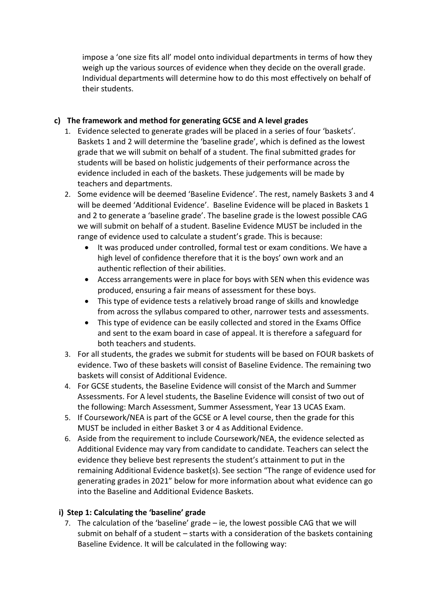impose a 'one size fits all' model onto individual departments in terms of how they weigh up the various sources of evidence when they decide on the overall grade. Individual departments will determine how to do this most effectively on behalf of their students.

## **c) The framework and method for generating GCSE and A level grades**

- 1. Evidence selected to generate grades will be placed in a series of four 'baskets'. Baskets 1 and 2 will determine the 'baseline grade', which is defined as the lowest grade that we will submit on behalf of a student. The final submitted grades for students will be based on holistic judgements of their performance across the evidence included in each of the baskets. These judgements will be made by teachers and departments.
- 2. Some evidence will be deemed 'Baseline Evidence'. The rest, namely Baskets 3 and 4 will be deemed 'Additional Evidence'. Baseline Evidence will be placed in Baskets 1 and 2 to generate a 'baseline grade'. The baseline grade is the lowest possible CAG we will submit on behalf of a student. Baseline Evidence MUST be included in the range of evidence used to calculate a student's grade. This is because:
	- It was produced under controlled, formal test or exam conditions. We have a high level of confidence therefore that it is the boys' own work and an authentic reflection of their abilities.
	- Access arrangements were in place for boys with SEN when this evidence was produced, ensuring a fair means of assessment for these boys.
	- This type of evidence tests a relatively broad range of skills and knowledge from across the syllabus compared to other, narrower tests and assessments.
	- This type of evidence can be easily collected and stored in the Exams Office and sent to the exam board in case of appeal. It is therefore a safeguard for both teachers and students.
- 3. For all students, the grades we submit for students will be based on FOUR baskets of evidence. Two of these baskets will consist of Baseline Evidence. The remaining two baskets will consist of Additional Evidence.
- 4. For GCSE students, the Baseline Evidence will consist of the March and Summer Assessments. For A level students, the Baseline Evidence will consist of two out of the following: March Assessment, Summer Assessment, Year 13 UCAS Exam.
- 5. If Coursework/NEA is part of the GCSE or A level course, then the grade for this MUST be included in either Basket 3 or 4 as Additional Evidence.
- 6. Aside from the requirement to include Coursework/NEA, the evidence selected as Additional Evidence may vary from candidate to candidate. Teachers can select the evidence they believe best represents the student's attainment to put in the remaining Additional Evidence basket(s). See section "The range of evidence used for generating grades in 2021" below for more information about what evidence can go into the Baseline and Additional Evidence Baskets.

#### **i) Step 1: Calculating the 'baseline' grade**

7. The calculation of the 'baseline' grade – ie, the lowest possible CAG that we will submit on behalf of a student – starts with a consideration of the baskets containing Baseline Evidence. It will be calculated in the following way: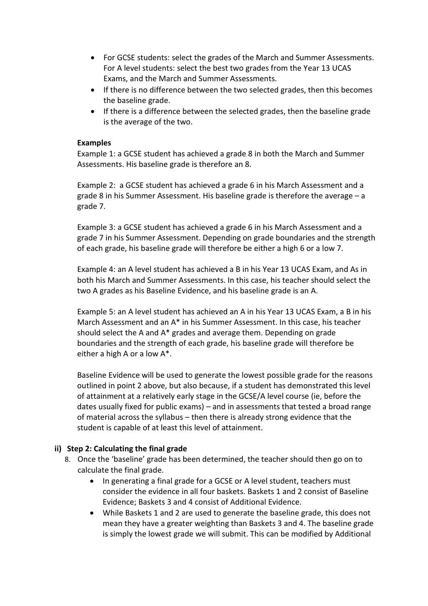- For GCSE students: select the grades of the March and Summer Assessments. For A level students: select the best two grades from the Year 13 UCAS Exams, and the March and Summer Assessments.
- If there is no difference between the two selected grades, then this becomes the baseline grade.
- If there is a difference between the selected grades, then the baseline grade is the average of the two.

#### **Examples**

Example 1: a GCSE student has achieved a grade 8 in both the March and Summer Assessments. His baseline grade is therefore an 8.

Example 2: a GCSE student has achieved a grade 6 in his March Assessment and a grade 8 in his Summer Assessment. His baseline grade is therefore the average – a grade 7.

Example 3: a GCSE student has achieved a grade 6 in his March Assessment and a grade 7 in his Summer Assessment. Depending on grade boundaries and the strength of each grade, his baseline grade will therefore be either a high 6 or a low 7.

Example 4: an A level student has achieved a B in his Year 13 UCAS Exam, and As in both his March and Summer Assessments. In this case, his teacher should select the two A grades as his Baseline Evidence, and his baseline grade is an A.

Example 5: an A level student has achieved an A in his Year 13 UCAS Exam, a B in his March Assessment and an A\* in his Summer Assessment. In this case, his teacher should select the A and A\* grades and average them. Depending on grade boundaries and the strength of each grade, his baseline grade will therefore be either a high A or a low A\*.

Baseline Evidence will be used to generate the lowest possible grade for the reasons outlined in point 2 above, but also because, if a student has demonstrated this level of attainment at a relatively early stage in the GCSE/A level course (ie, before the dates usually fixed for public exams) – and in assessments that tested a broad range of material across the syllabus – then there is already strong evidence that the student is capable of at least this level of attainment.

#### **ii) Step 2: Calculating the final grade**

- 8. Once the 'baseline' grade has been determined, the teacher should then go on to calculate the final grade.
	- In generating a final grade for a GCSE or A level student, teachers must consider the evidence in all four baskets. Baskets 1 and 2 consist of Baseline Evidence; Baskets 3 and 4 consist of Additional Evidence.
	- While Baskets 1 and 2 are used to generate the baseline grade, this does not mean they have a greater weighting than Baskets 3 and 4. The baseline grade is simply the lowest grade we will submit. This can be modified by Additional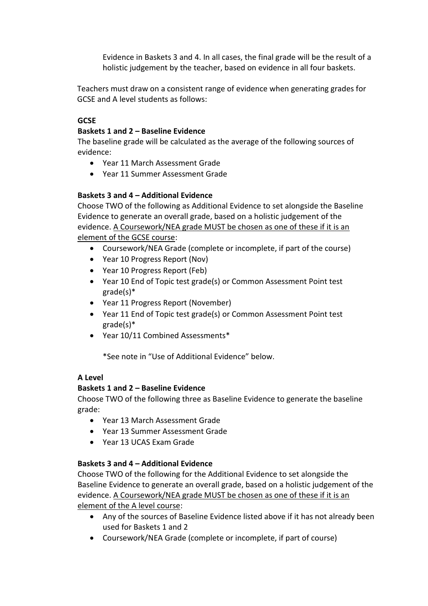Evidence in Baskets 3 and 4. In all cases, the final grade will be the result of a holistic judgement by the teacher, based on evidence in all four baskets.

Teachers must draw on a consistent range of evidence when generating grades for GCSE and A level students as follows:

### **GCSE**

#### **Baskets 1 and 2 – Baseline Evidence**

The baseline grade will be calculated as the average of the following sources of evidence:

- Year 11 March Assessment Grade
- Year 11 Summer Assessment Grade

## **Baskets 3 and 4 – Additional Evidence**

Choose TWO of the following as Additional Evidence to set alongside the Baseline Evidence to generate an overall grade, based on a holistic judgement of the evidence. A Coursework/NEA grade MUST be chosen as one of these if it is an element of the GCSE course:

- Coursework/NEA Grade (complete or incomplete, if part of the course)
- Year 10 Progress Report (Nov)
- Year 10 Progress Report (Feb)
- Year 10 End of Topic test grade(s) or Common Assessment Point test grade(s)\*
- Year 11 Progress Report (November)
- Year 11 End of Topic test grade(s) or Common Assessment Point test grade(s)\*
- Year 10/11 Combined Assessments\*

\*See note in "Use of Additional Evidence" below.

#### **A Level**

#### **Baskets 1 and 2 – Baseline Evidence**

Choose TWO of the following three as Baseline Evidence to generate the baseline grade:

- Year 13 March Assessment Grade
- Year 13 Summer Assessment Grade
- Year 13 UCAS Exam Grade

#### **Baskets 3 and 4 – Additional Evidence**

Choose TWO of the following for the Additional Evidence to set alongside the Baseline Evidence to generate an overall grade, based on a holistic judgement of the evidence. A Coursework/NEA grade MUST be chosen as one of these if it is an element of the A level course:

- Any of the sources of Baseline Evidence listed above if it has not already been used for Baskets 1 and 2
- Coursework/NEA Grade (complete or incomplete, if part of course)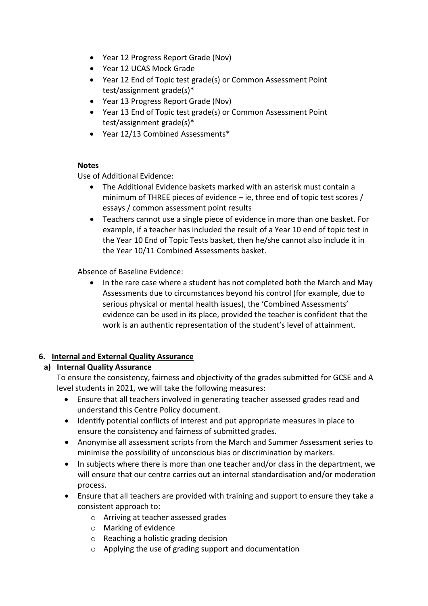- Year 12 Progress Report Grade (Nov)
- Year 12 UCAS Mock Grade
- Year 12 End of Topic test grade(s) or Common Assessment Point test/assignment grade(s)\*
- Year 13 Progress Report Grade (Nov)
- Year 13 End of Topic test grade(s) or Common Assessment Point test/assignment grade(s)\*
- Year 12/13 Combined Assessments\*

#### **Notes**

Use of Additional Evidence:

- The Additional Evidence baskets marked with an asterisk must contain a minimum of THREE pieces of evidence – ie, three end of topic test scores / essays / common assessment point results
- Teachers cannot use a single piece of evidence in more than one basket. For example, if a teacher has included the result of a Year 10 end of topic test in the Year 10 End of Topic Tests basket, then he/she cannot also include it in the Year 10/11 Combined Assessments basket.

Absence of Baseline Evidence:

• In the rare case where a student has not completed both the March and May Assessments due to circumstances beyond his control (for example, due to serious physical or mental health issues), the 'Combined Assessments' evidence can be used in its place, provided the teacher is confident that the work is an authentic representation of the student's level of attainment.

#### **6. Internal and External Quality Assurance**

#### **a) Internal Quality Assurance**

To ensure the consistency, fairness and objectivity of the grades submitted for GCSE and A level students in 2021, we will take the following measures:

- Ensure that all teachers involved in generating teacher assessed grades read and understand this Centre Policy document.
- Identify potential conflicts of interest and put appropriate measures in place to ensure the consistency and fairness of submitted grades.
- Anonymise all assessment scripts from the March and Summer Assessment series to minimise the possibility of unconscious bias or discrimination by markers.
- In subjects where there is more than one teacher and/or class in the department, we will ensure that our centre carries out an internal standardisation and/or moderation process.
- Ensure that all teachers are provided with training and support to ensure they take a consistent approach to:
	- o Arriving at teacher assessed grades
	- o Marking of evidence
	- o Reaching a holistic grading decision
	- o Applying the use of grading support and documentation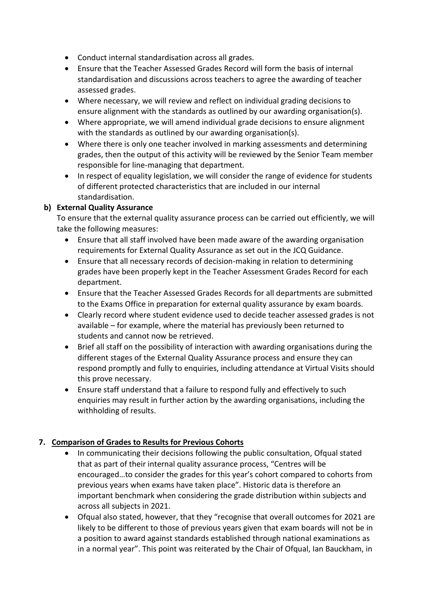- Conduct internal standardisation across all grades.
- Ensure that the Teacher Assessed Grades Record will form the basis of internal standardisation and discussions across teachers to agree the awarding of teacher assessed grades.
- Where necessary, we will review and reflect on individual grading decisions to ensure alignment with the standards as outlined by our awarding organisation(s).
- Where appropriate, we will amend individual grade decisions to ensure alignment with the standards as outlined by our awarding organisation(s).
- Where there is only one teacher involved in marking assessments and determining grades, then the output of this activity will be reviewed by the Senior Team member responsible for line-managing that department.
- In respect of equality legislation, we will consider the range of evidence for students of different protected characteristics that are included in our internal standardisation.

## **b) External Quality Assurance**

To ensure that the external quality assurance process can be carried out efficiently, we will take the following measures:

- Ensure that all staff involved have been made aware of the awarding organisation requirements for External Quality Assurance as set out in the JCQ Guidance.
- Ensure that all necessary records of decision-making in relation to determining grades have been properly kept in the Teacher Assessment Grades Record for each department.
- Ensure that the Teacher Assessed Grades Records for all departments are submitted to the Exams Office in preparation for external quality assurance by exam boards.
- Clearly record where student evidence used to decide teacher assessed grades is not available – for example, where the material has previously been returned to students and cannot now be retrieved.
- Brief all staff on the possibility of interaction with awarding organisations during the different stages of the External Quality Assurance process and ensure they can respond promptly and fully to enquiries, including attendance at Virtual Visits should this prove necessary.
- Ensure staff understand that a failure to respond fully and effectively to such enquiries may result in further action by the awarding organisations, including the withholding of results.

# **7. Comparison of Grades to Results for Previous Cohorts**

- In communicating their decisions following the public consultation, Ofqual stated that as part of their internal quality assurance process, "Centres will be encouraged…to consider the grades for this year's cohort compared to cohorts from previous years when exams have taken place". Historic data is therefore an important benchmark when considering the grade distribution within subjects and across all subjects in 2021.
- Ofqual also stated, however, that they "recognise that overall outcomes for 2021 are likely to be different to those of previous years given that exam boards will not be in a position to award against standards established through national examinations as in a normal year". This point was reiterated by the Chair of Ofqual, Ian Bauckham, in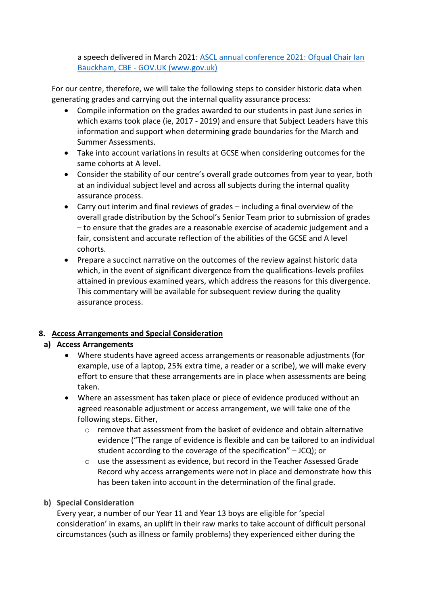a speech delivered in March 2021: [ASCL annual conference 2021: Ofqual Chair Ian](https://www.gov.uk/government/speeches/ascl-annual-conference-2021-ofqual-chair-ian-bauckham-cbe)  Bauckham, CBE - [GOV.UK \(www.gov.uk\)](https://www.gov.uk/government/speeches/ascl-annual-conference-2021-ofqual-chair-ian-bauckham-cbe)

For our centre, therefore, we will take the following steps to consider historic data when generating grades and carrying out the internal quality assurance process:

- Compile information on the grades awarded to our students in past June series in which exams took place (ie, 2017 - 2019) and ensure that Subject Leaders have this information and support when determining grade boundaries for the March and Summer Assessments.
- Take into account variations in results at GCSE when considering outcomes for the same cohorts at A level.
- Consider the stability of our centre's overall grade outcomes from year to year, both at an individual subject level and across all subjects during the internal quality assurance process.
- Carry out interim and final reviews of grades including a final overview of the overall grade distribution by the School's Senior Team prior to submission of grades – to ensure that the grades are a reasonable exercise of academic judgement and a fair, consistent and accurate reflection of the abilities of the GCSE and A level cohorts.
- Prepare a succinct narrative on the outcomes of the review against historic data which, in the event of significant divergence from the qualifications-levels profiles attained in previous examined years, which address the reasons for this divergence. This commentary will be available for subsequent review during the quality assurance process.

#### **8. Access Arrangements and Special Consideration**

#### **a) Access Arrangements**

- Where students have agreed access arrangements or reasonable adjustments (for example, use of a laptop, 25% extra time, a reader or a scribe), we will make every effort to ensure that these arrangements are in place when assessments are being taken.
- Where an assessment has taken place or piece of evidence produced without an agreed reasonable adjustment or access arrangement, we will take one of the following steps. Either,
	- $\circ$  remove that assessment from the basket of evidence and obtain alternative evidence ("The range of evidence is flexible and can be tailored to an individual student according to the coverage of the specification" – JCQ); or
	- o use the assessment as evidence, but record in the Teacher Assessed Grade Record why access arrangements were not in place and demonstrate how this has been taken into account in the determination of the final grade.

#### **b) Special Consideration**

Every year, a number of our Year 11 and Year 13 boys are eligible for 'special consideration' in exams, an uplift in their raw marks to take account of difficult personal circumstances (such as illness or family problems) they experienced either during the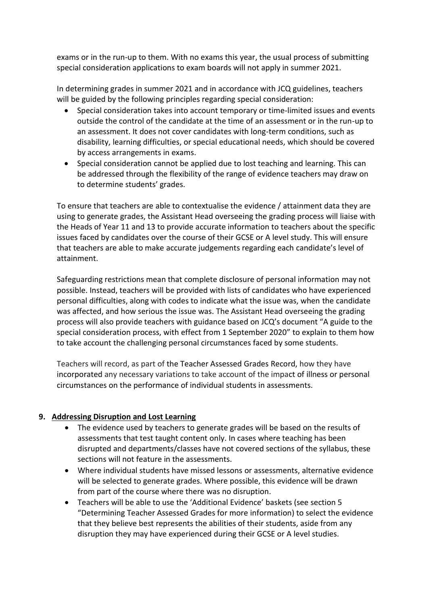exams or in the run-up to them. With no exams this year, the usual process of submitting special consideration applications to exam boards will not apply in summer 2021.

In determining grades in summer 2021 and in accordance with JCQ guidelines, teachers will be guided by the following principles regarding special consideration:

- Special consideration takes into account temporary or time-limited issues and events outside the control of the candidate at the time of an assessment or in the run-up to an assessment. It does not cover candidates with long-term conditions, such as disability, learning difficulties, or special educational needs, which should be covered by access arrangements in exams.
- Special consideration cannot be applied due to lost teaching and learning. This can be addressed through the flexibility of the range of evidence teachers may draw on to determine students' grades.

To ensure that teachers are able to contextualise the evidence / attainment data they are using to generate grades, the Assistant Head overseeing the grading process will liaise with the Heads of Year 11 and 13 to provide accurate information to teachers about the specific issues faced by candidates over the course of their GCSE or A level study. This will ensure that teachers are able to make accurate judgements regarding each candidate's level of attainment.

Safeguarding restrictions mean that complete disclosure of personal information may not possible. Instead, teachers will be provided with lists of candidates who have experienced personal difficulties, along with codes to indicate what the issue was, when the candidate was affected, and how serious the issue was. The Assistant Head overseeing the grading process will also provide teachers with guidance based on JCQ's document "A guide to the special consideration process, with effect from 1 September 2020" to explain to them how to take account the challenging personal circumstances faced by some students.

Teachers will record, as part of the Teacher Assessed Grades Record, how they have incorporated any necessary variations to take account of the impact of illness or personal circumstances on the performance of individual students in assessments.

# **9. Addressing Disruption and Lost Learning**

- The evidence used by teachers to generate grades will be based on the results of assessments that test taught content only. In cases where teaching has been disrupted and departments/classes have not covered sections of the syllabus, these sections will not feature in the assessments.
- Where individual students have missed lessons or assessments, alternative evidence will be selected to generate grades. Where possible, this evidence will be drawn from part of the course where there was no disruption.
- Teachers will be able to use the 'Additional Evidence' baskets (see section 5 "Determining Teacher Assessed Grades for more information) to select the evidence that they believe best represents the abilities of their students, aside from any disruption they may have experienced during their GCSE or A level studies.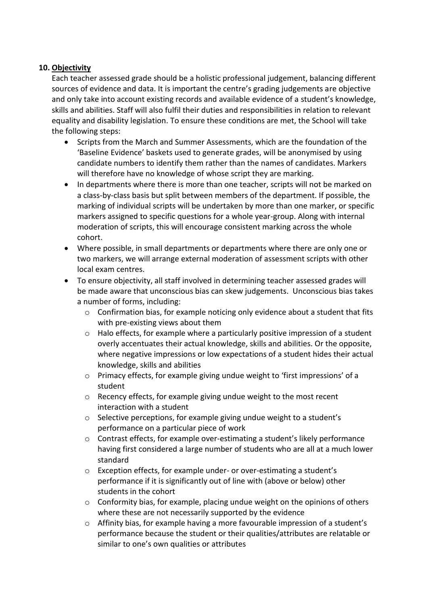#### **10. Objectivity**

Each teacher assessed grade should be a holistic professional judgement, balancing different sources of evidence and data. It is important the centre's grading judgements are objective and only take into account existing records and available evidence of a student's knowledge, skills and abilities. Staff will also fulfil their duties and responsibilities in relation to relevant equality and disability legislation. To ensure these conditions are met, the School will take the following steps:

- Scripts from the March and Summer Assessments, which are the foundation of the 'Baseline Evidence' baskets used to generate grades, will be anonymised by using candidate numbers to identify them rather than the names of candidates. Markers will therefore have no knowledge of whose script they are marking.
- In departments where there is more than one teacher, scripts will not be marked on a class-by-class basis but split between members of the department. If possible, the marking of individual scripts will be undertaken by more than one marker, or specific markers assigned to specific questions for a whole year-group. Along with internal moderation of scripts, this will encourage consistent marking across the whole cohort.
- Where possible, in small departments or departments where there are only one or two markers, we will arrange external moderation of assessment scripts with other local exam centres.
- To ensure objectivity, all staff involved in determining teacher assessed grades will be made aware that unconscious bias can skew judgements. Unconscious bias takes a number of forms, including:
	- $\circ$  Confirmation bias, for example noticing only evidence about a student that fits with pre-existing views about them
	- $\circ$  Halo effects, for example where a particularly positive impression of a student overly accentuates their actual knowledge, skills and abilities. Or the opposite, where negative impressions or low expectations of a student hides their actual knowledge, skills and abilities
	- o Primacy effects, for example giving undue weight to 'first impressions' of a student
	- o Recency effects, for example giving undue weight to the most recent interaction with a student
	- o Selective perceptions, for example giving undue weight to a student's performance on a particular piece of work
	- $\circ$  Contrast effects, for example over-estimating a student's likely performance having first considered a large number of students who are all at a much lower standard
	- $\circ$  Exception effects, for example under- or over-estimating a student's performance if it is significantly out of line with (above or below) other students in the cohort
	- $\circ$  Conformity bias, for example, placing undue weight on the opinions of others where these are not necessarily supported by the evidence
	- o Affinity bias, for example having a more favourable impression of a student's performance because the student or their qualities/attributes are relatable or similar to one's own qualities or attributes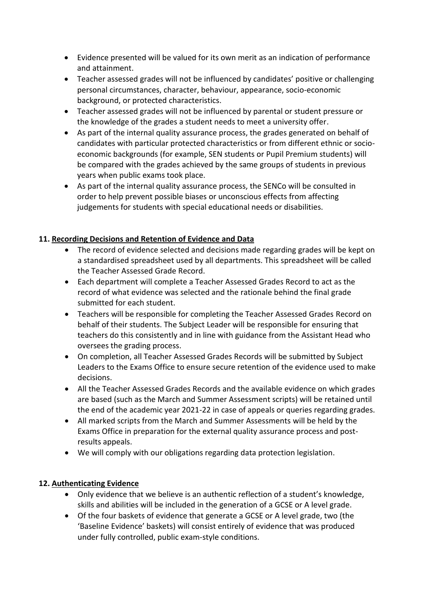- Evidence presented will be valued for its own merit as an indication of performance and attainment.
- Teacher assessed grades will not be influenced by candidates' positive or challenging personal circumstances, character, behaviour, appearance, socio-economic background, or protected characteristics.
- Teacher assessed grades will not be influenced by parental or student pressure or the knowledge of the grades a student needs to meet a university offer.
- As part of the internal quality assurance process, the grades generated on behalf of candidates with particular protected characteristics or from different ethnic or socioeconomic backgrounds (for example, SEN students or Pupil Premium students) will be compared with the grades achieved by the same groups of students in previous years when public exams took place.
- As part of the internal quality assurance process, the SENCo will be consulted in order to help prevent possible biases or unconscious effects from affecting judgements for students with special educational needs or disabilities.

## **11. Recording Decisions and Retention of Evidence and Data**

- The record of evidence selected and decisions made regarding grades will be kept on a standardised spreadsheet used by all departments. This spreadsheet will be called the Teacher Assessed Grade Record.
- Each department will complete a Teacher Assessed Grades Record to act as the record of what evidence was selected and the rationale behind the final grade submitted for each student.
- Teachers will be responsible for completing the Teacher Assessed Grades Record on behalf of their students. The Subject Leader will be responsible for ensuring that teachers do this consistently and in line with guidance from the Assistant Head who oversees the grading process.
- On completion, all Teacher Assessed Grades Records will be submitted by Subject Leaders to the Exams Office to ensure secure retention of the evidence used to make decisions.
- All the Teacher Assessed Grades Records and the available evidence on which grades are based (such as the March and Summer Assessment scripts) will be retained until the end of the academic year 2021-22 in case of appeals or queries regarding grades.
- All marked scripts from the March and Summer Assessments will be held by the Exams Office in preparation for the external quality assurance process and postresults appeals.
- We will comply with our obligations regarding data protection legislation.

# **12. Authenticating Evidence**

- Only evidence that we believe is an authentic reflection of a student's knowledge, skills and abilities will be included in the generation of a GCSE or A level grade.
- Of the four baskets of evidence that generate a GCSE or A level grade, two (the 'Baseline Evidence' baskets) will consist entirely of evidence that was produced under fully controlled, public exam-style conditions.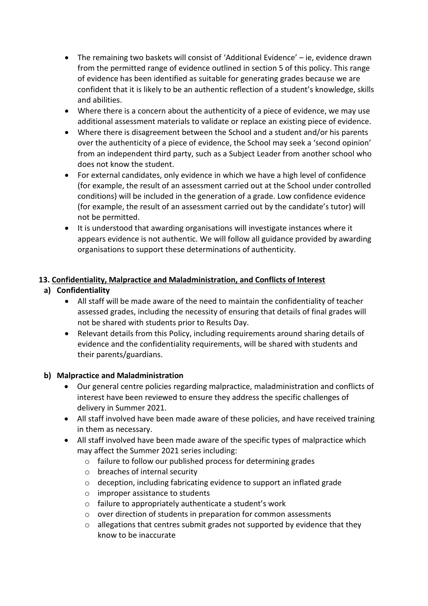- The remaining two baskets will consist of 'Additional Evidence' ie, evidence drawn from the permitted range of evidence outlined in section 5 of this policy. This range of evidence has been identified as suitable for generating grades because we are confident that it is likely to be an authentic reflection of a student's knowledge, skills and abilities.
- Where there is a concern about the authenticity of a piece of evidence, we may use additional assessment materials to validate or replace an existing piece of evidence.
- Where there is disagreement between the School and a student and/or his parents over the authenticity of a piece of evidence, the School may seek a 'second opinion' from an independent third party, such as a Subject Leader from another school who does not know the student.
- For external candidates, only evidence in which we have a high level of confidence (for example, the result of an assessment carried out at the School under controlled conditions) will be included in the generation of a grade. Low confidence evidence (for example, the result of an assessment carried out by the candidate's tutor) will not be permitted.
- It is understood that awarding organisations will investigate instances where it appears evidence is not authentic. We will follow all guidance provided by awarding organisations to support these determinations of authenticity.

## **13. Confidentiality, Malpractice and Maladministration, and Conflicts of Interest**

## **a) Confidentiality**

- All staff will be made aware of the need to maintain the confidentiality of teacher assessed grades, including the necessity of ensuring that details of final grades will not be shared with students prior to Results Day.
- Relevant details from this Policy, including requirements around sharing details of evidence and the confidentiality requirements, will be shared with students and their parents/guardians.

#### **b) Malpractice and Maladministration**

- Our general centre policies regarding malpractice, maladministration and conflicts of interest have been reviewed to ensure they address the specific challenges of delivery in Summer 2021.
- All staff involved have been made aware of these policies, and have received training in them as necessary.
- All staff involved have been made aware of the specific types of malpractice which may affect the Summer 2021 series including:
	- o failure to follow our published process for determining grades
	- o breaches of internal security
	- o deception, including fabricating evidence to support an inflated grade
	- o improper assistance to students
	- o failure to appropriately authenticate a student's work
	- o over direction of students in preparation for common assessments
	- $\circ$  allegations that centres submit grades not supported by evidence that they know to be inaccurate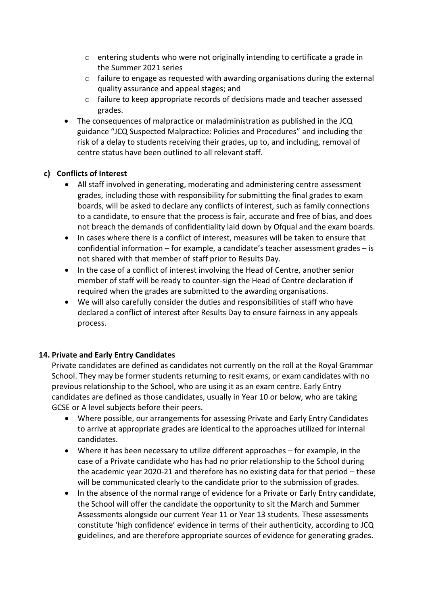- $\circ$  entering students who were not originally intending to certificate a grade in the Summer 2021 series
- $\circ$  failure to engage as requested with awarding organisations during the external quality assurance and appeal stages; and
- o failure to keep appropriate records of decisions made and teacher assessed grades.
- The consequences of malpractice or maladministration as published in the JCQ guidance "JCQ Suspected Malpractice: Policies and Procedures" and including the risk of a delay to students receiving their grades, up to, and including, removal of centre status have been outlined to all relevant staff.

#### **c) Conflicts of Interest**

- All staff involved in generating, moderating and administering centre assessment grades, including those with responsibility for submitting the final grades to exam boards, will be asked to declare any conflicts of interest, such as family connections to a candidate, to ensure that the process is fair, accurate and free of bias, and does not breach the demands of confidentiality laid down by Ofqual and the exam boards.
- In cases where there is a conflict of interest, measures will be taken to ensure that confidential information – for example, a candidate's teacher assessment grades – is not shared with that member of staff prior to Results Day.
- In the case of a conflict of interest involving the Head of Centre, another senior member of staff will be ready to counter-sign the Head of Centre declaration if required when the grades are submitted to the awarding organisations.
- We will also carefully consider the duties and responsibilities of staff who have declared a conflict of interest after Results Day to ensure fairness in any appeals process.

#### **14. Private and Early Entry Candidates**

Private candidates are defined as candidates not currently on the roll at the Royal Grammar School. They may be former students returning to resit exams, or exam candidates with no previous relationship to the School, who are using it as an exam centre. Early Entry candidates are defined as those candidates, usually in Year 10 or below, who are taking GCSE or A level subjects before their peers.

- Where possible, our arrangements for assessing Private and Early Entry Candidates to arrive at appropriate grades are identical to the approaches utilized for internal candidates.
- Where it has been necessary to utilize different approaches for example, in the case of a Private candidate who has had no prior relationship to the School during the academic year 2020-21 and therefore has no existing data for that period – these will be communicated clearly to the candidate prior to the submission of grades.
- In the absence of the normal range of evidence for a Private or Early Entry candidate, the School will offer the candidate the opportunity to sit the March and Summer Assessments alongside our current Year 11 or Year 13 students. These assessments constitute 'high confidence' evidence in terms of their authenticity, according to JCQ guidelines, and are therefore appropriate sources of evidence for generating grades.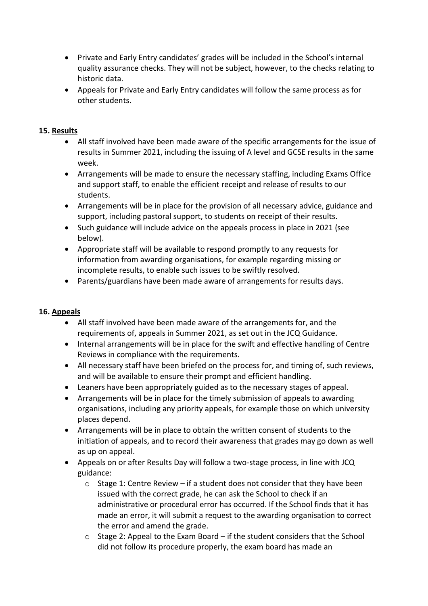- Private and Early Entry candidates' grades will be included in the School's internal quality assurance checks. They will not be subject, however, to the checks relating to historic data.
- Appeals for Private and Early Entry candidates will follow the same process as for other students.

#### **15. Results**

- All staff involved have been made aware of the specific arrangements for the issue of results in Summer 2021, including the issuing of A level and GCSE results in the same week.
- Arrangements will be made to ensure the necessary staffing, including Exams Office and support staff, to enable the efficient receipt and release of results to our students.
- Arrangements will be in place for the provision of all necessary advice, guidance and support, including pastoral support, to students on receipt of their results.
- Such guidance will include advice on the appeals process in place in 2021 (see below).
- Appropriate staff will be available to respond promptly to any requests for information from awarding organisations, for example regarding missing or incomplete results, to enable such issues to be swiftly resolved.
- Parents/guardians have been made aware of arrangements for results days.

#### **16. Appeals**

- All staff involved have been made aware of the arrangements for, and the requirements of, appeals in Summer 2021, as set out in the JCQ Guidance.
- Internal arrangements will be in place for the swift and effective handling of Centre Reviews in compliance with the requirements.
- All necessary staff have been briefed on the process for, and timing of, such reviews, and will be available to ensure their prompt and efficient handling.
- Leaners have been appropriately guided as to the necessary stages of appeal.
- Arrangements will be in place for the timely submission of appeals to awarding organisations, including any priority appeals, for example those on which university places depend.
- Arrangements will be in place to obtain the written consent of students to the initiation of appeals, and to record their awareness that grades may go down as well as up on appeal.
- Appeals on or after Results Day will follow a two-stage process, in line with JCQ guidance:
	- $\circ$  Stage 1: Centre Review if a student does not consider that they have been issued with the correct grade, he can ask the School to check if an administrative or procedural error has occurred. If the School finds that it has made an error, it will submit a request to the awarding organisation to correct the error and amend the grade.
	- $\circ$  Stage 2: Appeal to the Exam Board if the student considers that the School did not follow its procedure properly, the exam board has made an